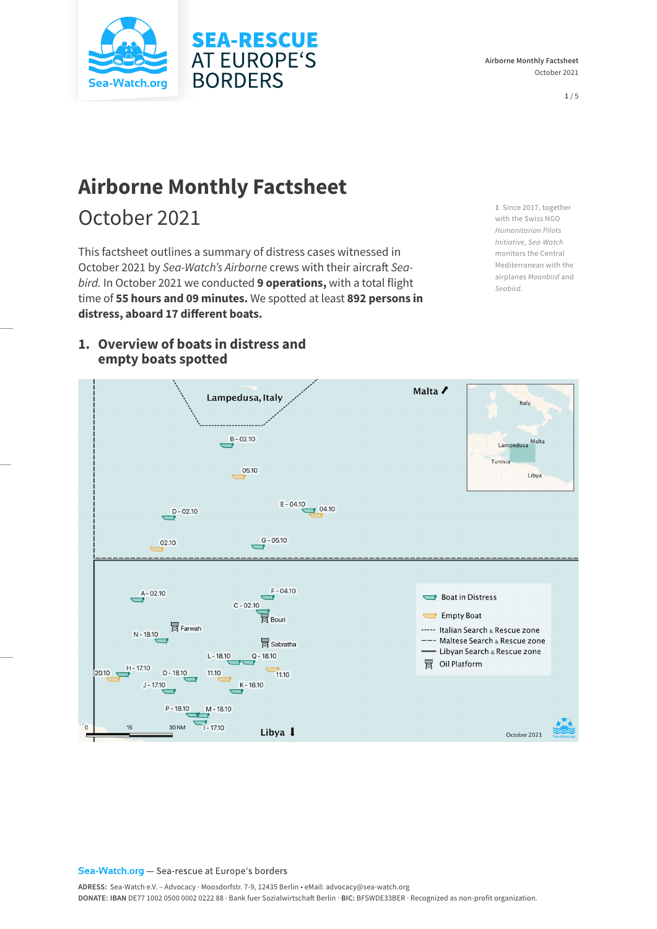

**Airborne Monthly Factsheet**  October 2021

**1** / 5

# **Airborne Monthly Factsheet**

# October 2021

This factsheet outlines a summary of distress cases witnessed in October 2021 by *Sea-Watch's Airborne* crews with their aircraft *Seabird.* In October 2021 we conducted **9 operations,** with a total flight time of **55 hours and 09 minutes.** We spotted at least **892 persons in distress, aboard 17 different boats.**

**1** Since 2017, together with the Swiss NGO *Humanitarian Pilots Initiative, Sea-Watch* monitors the Central Mediterranean with the airplanes *Moonbird* and *Seabird*.



## **1. Overview of boats in distress and empty boats spotted**

#### Sea-Watch.org - Sea-rescue at Europe's borders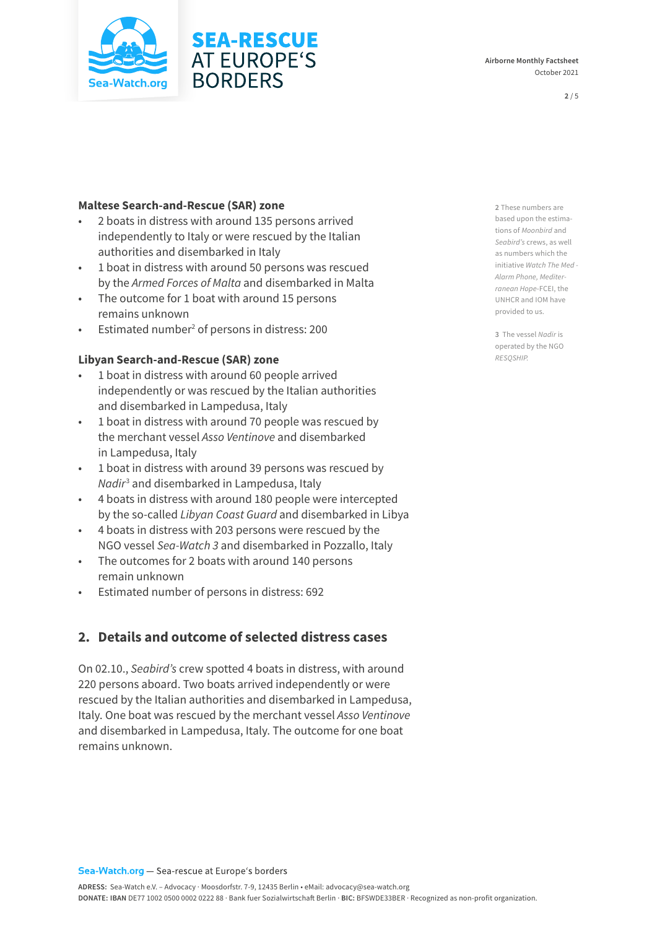

### **Maltese Search-and-Rescue (SAR) zone**

- 2 boats in distress with around 135 persons arrived independently to Italy or were rescued by the Italian authorities and disembarked in Italy
- 1 boat in distress with around 50 persons was rescued by the *Armed Forces of Malta* and disembarked in Malta
- The outcome for 1 boat with around 15 persons remains unknown
- Estimated number<sup>2</sup> of persons in distress: 200

### **Libyan Search-and-Rescue (SAR) zone**

- 1 boat in distress with around 60 people arrived independently or was rescued by the Italian authorities and disembarked in Lampedusa, Italy
- 1 boat in distress with around 70 people was rescued by the merchant vessel *Asso Ventinove* and disembarked in Lampedusa, Italy
- 1 boat in distress with around 39 persons was rescued by *Nadir*<sup>3</sup> and disembarked in Lampedusa, Italy
- 4 boats in distress with around 180 people were intercepted by the so-called *Libyan Coast Guard* and disembarked in Libya
- 4 boats in distress with 203 persons were rescued by the NGO vessel *Sea-Watch 3* and disembarked in Pozzallo, Italy
- The outcomes for 2 boats with around 140 persons remain unknown
- Estimated number of persons in distress: 692

## **2. Details and outcome of selected distress cases**

On 02.10., *Seabird's* crew spotted 4 boats in distress, with around 220 persons aboard. Two boats arrived independently or were rescued by the Italian authorities and disembarked in Lampedusa, Italy. One boat was rescued by the merchant vessel *Asso Ventinove*  and disembarked in Lampedusa, Italy. The outcome for one boat remains unknown.

**2** These numbers are based upon the estimations of *Moonbird* and *Seabird's* crews, as well as numbers which the initiative *Watch The Med - Alarm Phone, Mediterranean Hope*-FCEI, the UNHCR and IOM have provided to us.

**3** The vessel *Nadir* is operated by the NGO *RESQSHIP.*

**Airborne Monthly Factsheet**  October 2021

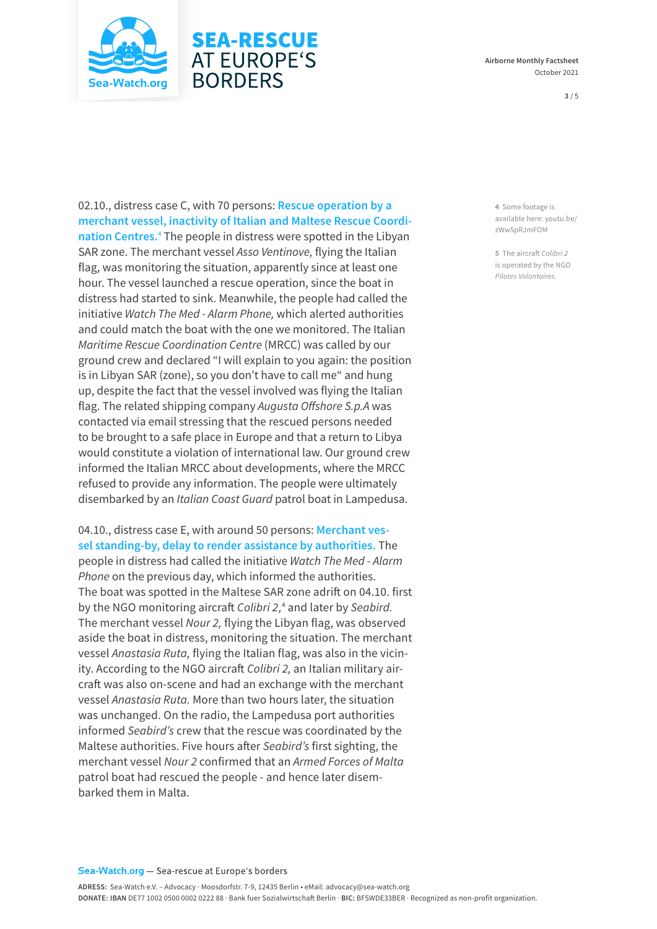

#### **Airborne Monthly Factsheet**  October 2021

#### **3** / 5

02.10., distress case C, with 70 persons: **Rescue operation by a merchant vessel, inactivity of Italian and Maltese Rescue Coordination Centres.**<sup>4</sup> The people in distress were spotted in the Libyan SAR zone. The merchant vessel *Asso Ventinove,* flying the Italian flag, was monitoring the situation, apparently since at least one hour. The vessel launched a rescue operation, since the boat in distress had started to sink. Meanwhile, the people had called the initiative *Watch The Med - Alarm Phone,* which alerted authorities and could match the boat with the one we monitored. The Italian *Maritime Rescue Coordination Centre* (MRCC) was called by our ground crew and declared "I will explain to you again: the position is in Libyan SAR (zone), so you don't have to call me" and hung up, despite the fact that the vessel involved was flying the Italian flag. The related shipping company *Augusta Offshore S.p.A* was contacted via email stressing that the rescued persons needed to be brought to a safe place in Europe and that a return to Libya would constitute a violation of international law. Our ground crew informed the Italian MRCC about developments, where the MRCC refused to provide any information. The people were ultimately disembarked by an *Italian Coast Guard* patrol boat in Lampedusa.

**SEA-RESCUE AT EUROPE'S** 

**BORDERS** 

04.10., distress case E, with around 50 persons: **Merchant vessel standing-by, delay to render assistance by authorities.** The people in distress had called the initiative *Watch The Med - Alarm Phone* on the previous day, which informed the authorities. The boat was spotted in the Maltese SAR zone adrift on 04.10. first by the NGO monitoring aircraft *Colibri 2,*<sup>4</sup> and later by *Seabird.* The merchant vessel *Nour 2,* flying the Libyan flag, was observed aside the boat in distress, monitoring the situation. The merchant vessel *Anastasia Ruta,* flying the Italian flag, was also in the vicinity. According to the NGO aircraft *Colibri 2,* an Italian military aircraft was also on-scene and had an exchange with the merchant vessel *Anastasia Ruta.* More than two hours later, the situation was unchanged. On the radio, the Lampedusa port authorities informed *Seabird's* crew that the rescue was coordinated by the Maltese authorities. Five hours after *Seabird's* first sighting, the merchant vessel *Nour 2* confirmed that an *Armed Forces of Malta*  patrol boat had rescued the people - and hence later disembarked them in Malta.

**4** Some footage is available here: [youtu.be/](https://youtu.be/zWw5pRJmFOM) [zWw5pRJmFOM](https://youtu.be/zWw5pRJmFOM)

**5** The aircraft *Colibri 2*  is operated by the NGO *Pilotes Volontaires.*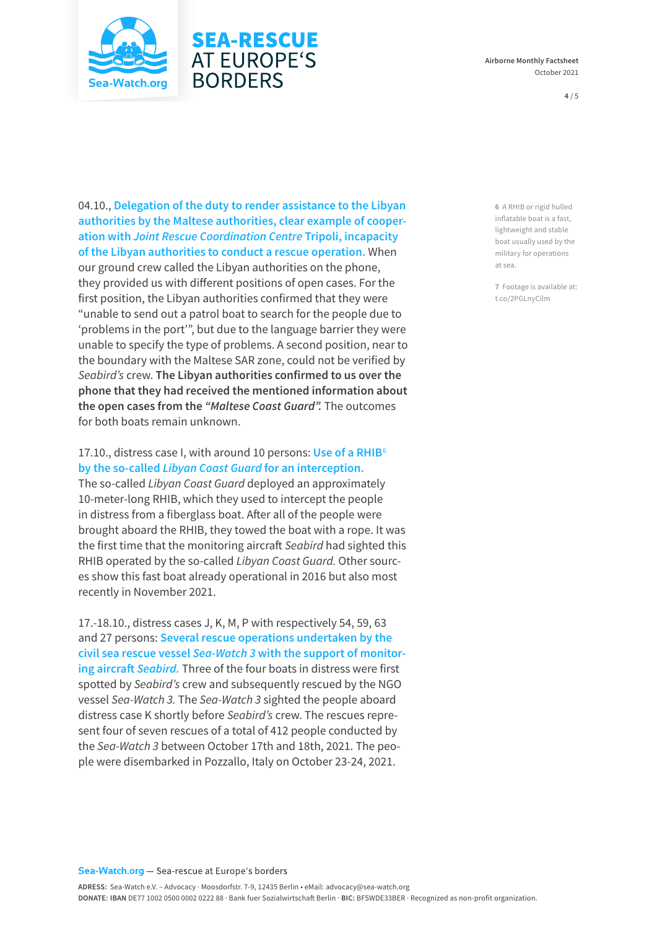

## **SEA-RESCUE AT EUROPE'S BORDERS**

04.10., **Delegation of the duty to render assistance to the Libyan authorities by the Maltese authorities, clear example of cooperation with** *Joint Rescue Coordination Centre* **Tripoli, incapacity of the Libyan authorities to conduct a rescue operation.** When our ground crew called the Libyan authorities on the phone, they provided us with different positions of open cases. For the first position, the Libyan authorities confirmed that they were "unable to send out a patrol boat to search for the people due to 'problems in the port'", but due to the language barrier they were unable to specify the type of problems. A second position, near to the boundary with the Maltese SAR zone, could not be verified by *Seabird's* crew. **The Libyan authorities confirmed to us over the phone that they had received the mentioned information about the open cases from the** *"Maltese Coast Guard".* The outcomes for both boats remain unknown.

### 17.10., distress case I, with around 10 persons: **Use of a RHIB**<sup>6</sup> **by the so-called** *Libyan Coast Guard* **for an interception.**

The so-called *Libyan Coast Guard* deployed an approximately 10-meter-long RHIB, which they used to intercept the people in distress from a fiberglass boat. After all of the people were brought aboard the RHIB, they towed the boat with a rope. It was the first time that the monitoring aircraft *Seabird* had sighted this RHIB operated by the so-called *Libyan Coast Guard.* Other sources show this fast boat already operational in 2016 but also most recently in November 2021.

17.-18.10., distress cases J, K, M, P with respectively 54, 59, 63 and 27 persons: **Several rescue operations undertaken by the civil sea rescue vessel** *Sea-Watch 3* **with the support of monitoring aircraft** *Seabird.* Three of the four boats in distress were first spotted by *Seabird's* crew and subsequently rescued by the NGO vessel *Sea-Watch 3.* The *Sea-Watch 3* sighted the people aboard distress case K shortly before *Seabird's* crew. The rescues represent four of seven rescues of a total of 412 people conducted by the *Sea-Watch 3* between October 17th and 18th, 2021. The people were disembarked in Pozzallo, Italy on October 23-24, 2021.

**6** A RHIB or rigid hulled inflatable boat is a fast, lightweight and stable boat usually used by the military for operations at sea.

**7** Footage is available at: t.co/2PGLnyCilm